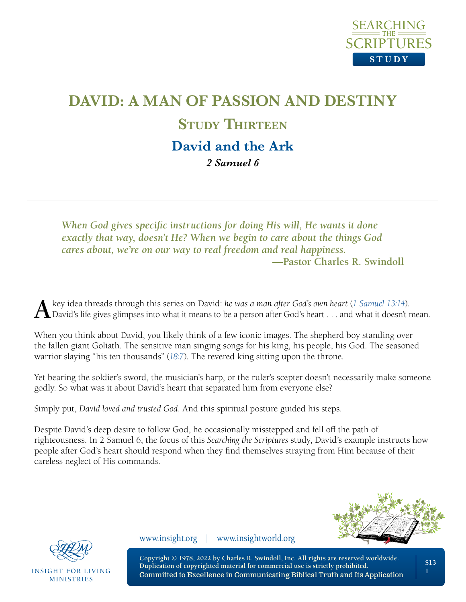

# **DAVID: A MAN OF PASSION AND DESTINY STUDY THIRTEEN David and the Ark** *2 Samuel 6*

*When God gives specific instructions for doing His will, He wants it done exactly that way, doesn't He? When we begin to care about the things God cares about, we're on our way to real freedom and real happiness.* **—Pastor Charles R. Swindoll**

A key idea threads through this series on David: he was a man after God's own heart ([1 Samuel 13:14](https://www.biblegateway.com/passage/?search=1+Samuel+13%3A14&version=NLT;NASB1995)).<br>David's life gives glimpses into what it means to be a person after God's heart . . . and what it doesn't mean.

When you think about David, you likely think of a few iconic images. The shepherd boy standing over the fallen giant Goliath. The sensitive man singing songs for his king, his people, his God. The seasoned warrior slaying "his ten thousands" (*[18:7](https://www.biblegateway.com/passage/?search=1+Samuel+18%3A7&version=NLT;NASB1995)*). The revered king sitting upon the throne.

Yet bearing the soldier's sword, the musician's harp, or the ruler's scepter doesn't necessarily make someone godly. So what was it about David's heart that separated him from everyone else?

Simply put, *David loved and trusted God*. And this spiritual posture guided his steps.

Despite David's deep desire to follow God, he occasionally misstepped and fell off the path of righteousness. In 2 Samuel 6, the focus of this *Searching the Scriptures* study, David's example instructs how people after God's heart should respond when they find themselves straying from Him because of their careless neglect of His commands.





**INSIGHT FOR LIVING MINISTRIES** 

www.insight.org | www.insightworld.org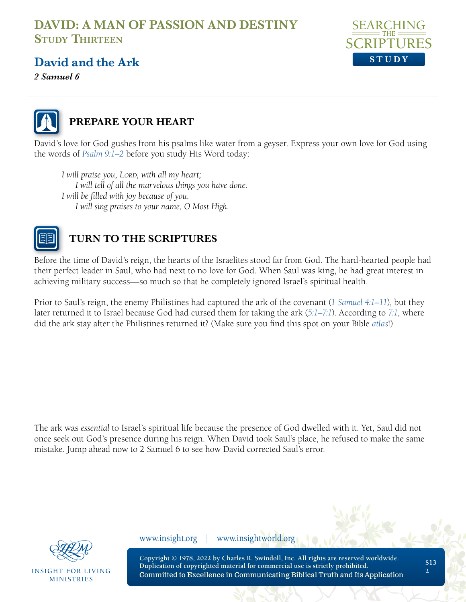

#### **David and the Ark**

*2 Samuel 6* 



#### **PREPARE YOUR HEART**

David's love for God gushes from his psalms like water from a geyser. Express your own love for God using the words of *[Psalm 9:1–2](https://www.biblegateway.com/passage/?search=psalms+9%3A1-2&version=NLT;NASB1995)* before you study His Word today:

*I* will praise you, LORD, with all my heart; *I will tell of all the marvelous things you have done. I will be filled with joy because of you. I will sing praises to your name, O Most High.*



#### **TURN TO THE SCRIPTURES**

Before the time of David's reign, the hearts of the Israelites stood far from God. The hard-hearted people had their perfect leader in Saul, who had next to no love for God. When Saul was king, he had great interest in achieving military success—so much so that he completely ignored Israel's spiritual health.

Prior to Saul's reign, the enemy Philistines had captured the ark of the covenant (*[1 Samuel 4:1–11](https://www.biblegateway.com/passage/?search=1+Samuel+4%3A1%E2%80%9311&version=NLT;NASB1995)*), but they later returned it to Israel because God had cursed them for taking the ark (*[5:1–7:1](https://www.biblegateway.com/passage/?search=1+Samuel+5%3A1%E2%80%937%3A1&version=NLT;NASB1995)*). According to *[7:1](https://www.biblegateway.com/passage/?search=1+Samuel+7%3A1&version=NLT;NASB1995)*, where did the ark stay after the Philistines returned it? (Make sure you find this spot on your Bible *[atlas](https://insightforliving.swncdn.com/docs/ifl-usa/content/ascendio/maps/NLT_maps_from_Tyndale5.pdf)*!)

The ark was *essential* to Israel's spiritual life because the presence of God dwelled with it. Yet, Saul did not once seek out God's presence during his reign. When David took Saul's place, he refused to make the same mistake. Jump ahead now to 2 Samuel 6 to see how David corrected Saul's error.



INSIGHT FOR LIVING **MINISTRIES** 

www.insight.org | www.insightworld.org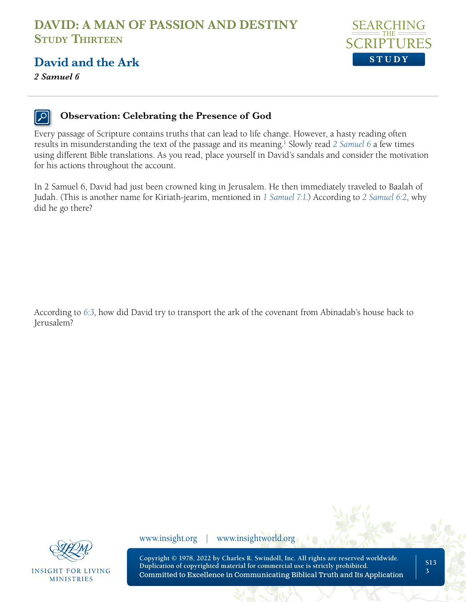

*2 Samuel 6* 



#### **Observation: Celebrating the Presence of God**

Every passage of Scripture contains truths that can lead to life change. However, a hasty reading often results in misunderstanding the text of the passage and its meaning.<sup>1</sup> Slowly read [2 Samuel 6](https://www.biblegateway.com/passage/?search=2+Samuel+6+&version=NLT;NASB1995) a few times using different Bible translations. As you read, place yourself in David's sandals and consider the motivation for his actions throughout the account.

In 2 Samuel 6, David had just been crowned king in Jerusalem. He then immediately traveled to Baalah of Judah. (This is another name for Kiriath-jearim, mentioned in *[1 Samuel 7:1](https://www.biblegateway.com/passage/?search=1+Samuel+7%3A1&version=NLT;NASB1995)*.) According to *[2 Samuel 6:2](https://www.biblegateway.com/passage/?search=2+Samuel+6%3A2&version=NLT;NASB1995)*, why did he go there?

According to *[6:3](https://www.biblegateway.com/passage/?search=2+Samuel+6%3A3&version=NLT;NASB1995)*, how did David try to transport the ark of the covenant from Abinadab's house back to Jerusalem?



**INSIGHT FOR LIVING MINISTRIES** 

www.insight.org | www.insightworld.org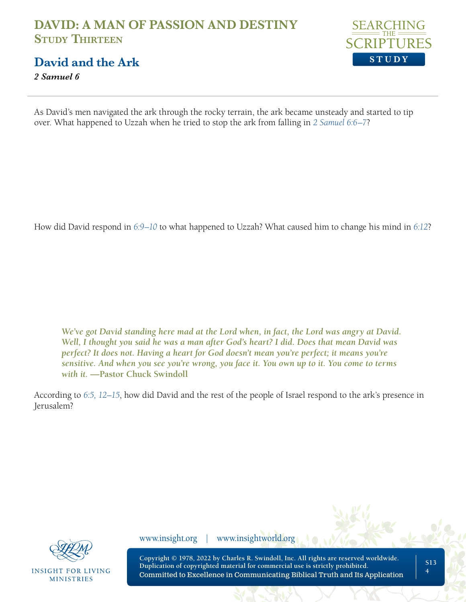

**David and the Ark**

*2 Samuel 6* 

As David's men navigated the ark through the rocky terrain, the ark became unsteady and started to tip over. What happened to Uzzah when he tried to stop the ark from falling in *[2 Samuel 6:6–7](https://www.biblegateway.com/passage/?search=2+Samuel+6%3A6%E2%80%937&version=NLT;NASB1995)*?

How did David respond in *[6:9–10](https://www.biblegateway.com/passage/?search=2+Samuel+6%3A9%E2%80%9310+&version=NLT;NASB1995)* to what happened to Uzzah? What caused him to change his mind in *[6:12](https://www.biblegateway.com/passage/?search=2+Samuel+6%3A12&version=NLT;NASB1995)*?

*We've got David standing here mad at the Lord when, in fact, the Lord was angry at David. Well, I thought you said he was a man after God's heart? I did. Does that mean David was perfect? It does not. Having a heart for God doesn't mean you're perfect; it means you're sensitive. And when you see you're wrong, you face it. You own up to it. You come to terms with it.* **—Pastor Chuck Swindoll**

According to *[6:5, 12–15](https://www.biblegateway.com/passage/?search=2+Samuel+6%3A5%2C+12%E2%80%9315&version=NLT;NASB1995)*, how did David and the rest of the people of Israel respond to the ark's presence in Jerusalem?



**INSIGHT FOR LIVING MINISTRIES** 

www.insight.org | www.insightworld.org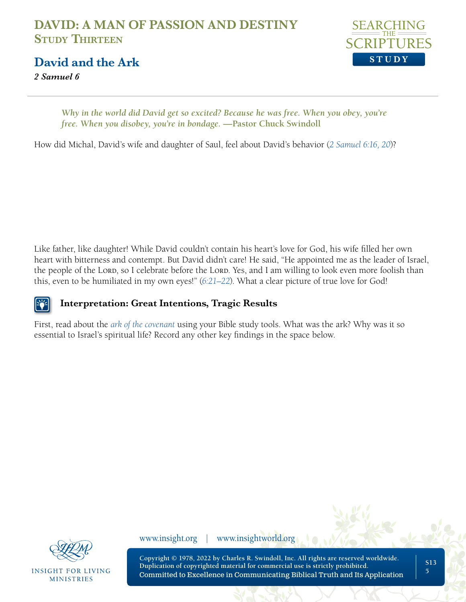

**David and the Ark**

*2 Samuel 6* 

*Why in the world did David get so excited? Because he was free. When you obey, you're free. When you disobey, you're in bondage.* —Pastor Chuck Swindoll

How did Michal, David's wife and daughter of Saul, feel about David's behavior (*[2 Samuel 6:16, 20](https://www.biblegateway.com/passage/?search=2+Samuel+6%3A16%2C+20&version=NLT;NASB1995)*)?

Like father, like daughter! While David couldn't contain his heart's love for God, his wife filled her own heart with bitterness and contempt. But David didn't care! He said, "He appointed me as the leader of Israel, the people of the Lord, so I celebrate before the Lord. Yes, and I am willing to look even more foolish than this, even to be humiliated in my own eyes!" (*[6:21–22](https://www.biblegateway.com/passage/?search=2+Samuel+6%3A21%E2%80%9322&version=NLT;NASB1995)*). What a clear picture of true love for God!

#### **Interpretation: Great Intentions, Tragic Results E82**

First, read about the *[ark of the covenant](https://www.biblestudytools.com/dictionaries/bakers-evangelical-dictionary/ark.html)* using your Bible study tools. What was the ark? Why was it so essential to Israel's spiritual life? Record any other key findings in the space below.



**INSIGHT FOR LIVING MINISTRIES** 

www.insight.org | www.insightworld.org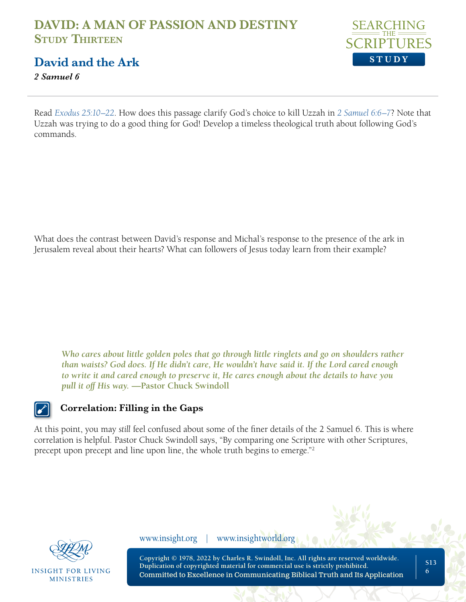

#### **David and the Ark**

*2 Samuel 6* 

Read *[Exodus 25:10–22](https://www.biblegateway.com/passage/?search=Exodus+25%3A10%E2%80%9322&version=NLT;NASB1995)*. How does this passage clarify God's choice to kill Uzzah in *[2 Samuel 6:6–7](https://www.biblegateway.com/passage/?search=2+Samuel+6%3A6%E2%80%937&version=NLT;NASB1995)*? Note that Uzzah was trying to do a good thing for God! Develop a timeless theological truth about following God's commands.

What does the contrast between David's response and Michal's response to the presence of the ark in Jerusalem reveal about their hearts? What can followers of Jesus today learn from their example?

*Who cares about little golden poles that go through little ringlets and go on shoulders rather than waists? God does. If He didn't care, He wouldn't have said it. If the Lord cared enough to write it and cared enough to preserve it, He cares enough about the details to have you pull it off His way.* **—Pastor Chuck Swindoll**

#### **Correlation: Filling in the Gaps**

At this point, you may *still* feel confused about some of the finer details of the 2 Samuel 6. This is where correlation is helpful. Pastor Chuck Swindoll says, "By comparing one Scripture with other Scriptures, precept upon precept and line upon line, the whole truth begins to emerge."<sup>2</sup>



**INSIGHT FOR LIVING MINISTRIES** 

www.insight.org | www.insightworld.org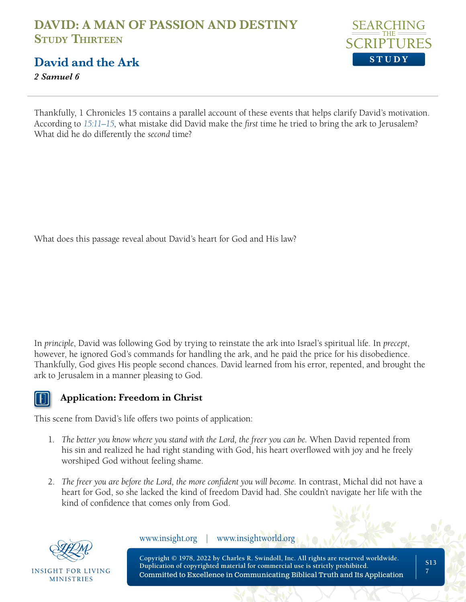

#### **David and the Ark**

*2 Samuel 6* 

Thankfully, 1 Chronicles 15 contains a parallel account of these events that helps clarify David's motivation. According to *[15:11–15](https://www.biblegateway.com/passage/?search=1+Chronicles+15%3A11%E2%80%9315&version=NLT;NASB1995)*, what mistake did David make the *first* time he tried to bring the ark to Jerusalem? What did he do differently the *second* time?

What does this passage reveal about David's heart for God and His law?

In *principle*, David was following God by trying to reinstate the ark into Israel's spiritual life. In *precept*, however, he ignored God's commands for handling the ark, and he paid the price for his disobedience. Thankfully, God gives His people second chances. David learned from his error, repented, and brought the ark to Jerusalem in a manner pleasing to God.

#### **Application: Freedom in Christ**

This scene from David's life offers two points of application:

- 1. *The better you know where you stand with the Lord, the freer you can be.* When David repented from his sin and realized he had right standing with God, his heart overflowed with joy and he freely worshiped God without feeling shame.
- 2. *The freer you are before the Lord, the more confident you will become.* In contrast, Michal did not have a heart for God, so she lacked the kind of freedom David had. She couldn't navigate her life with the kind of confidence that comes only from God.



INSIGHT FOR LIVING **MINISTRIES** 

www.insight.org | www.insightworld.org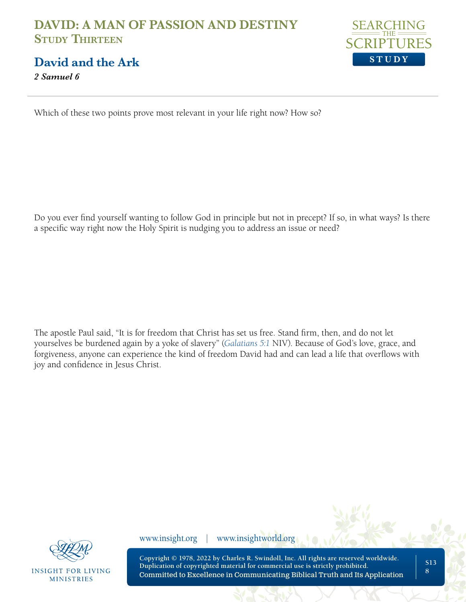**David and the Ark**

*2 Samuel 6* 



Which of these two points prove most relevant in your life right now? How so?

Do you ever find yourself wanting to follow God in principle but not in precept? If so, in what ways? Is there a specific way right now the Holy Spirit is nudging you to address an issue or need?

The apostle Paul said, "It is for freedom that Christ has set us free. Stand firm, then, and do not let yourselves be burdened again by a yoke of slavery" (*[Galatians 5:1](https://www.biblegateway.com/passage/?search=Galatians%205%3A1&version=NLT,NASB1995,NIV)* NIV). Because of God's love, grace, and forgiveness, anyone can experience the kind of freedom David had and can lead a life that overflows with joy and confidence in Jesus Christ.



**INSIGHT FOR LIVING MINISTRIES** 

www.insight.org | www.insightworld.org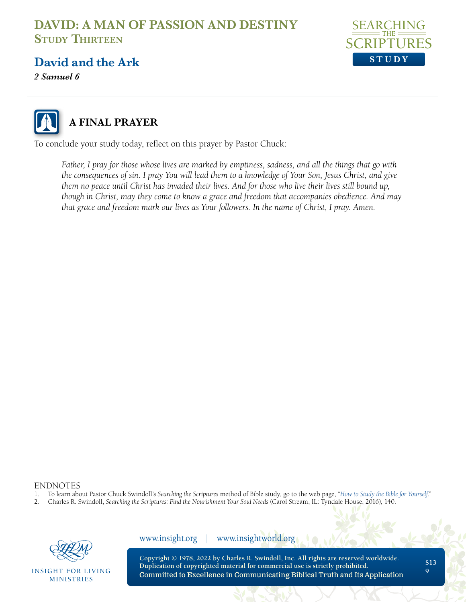

#### **David and the Ark**

*2 Samuel 6* 



### **A FINAL PRAYER**

To conclude your study today, reflect on this prayer by Pastor Chuck:

*Father, I pray for those whose lives are marked by emptiness, sadness, and all the things that go with the consequences of sin. I pray You will lead them to a knowledge of Your Son, Jesus Christ, and give them no peace until Christ has invaded their lives. And for those who live their lives still bound up, though in Christ, may they come to know a grace and freedom that accompanies obedience. And may that grace and freedom mark our lives as Your followers. In the name of Christ, I pray. Amen.*

### ENDNOTES<br>1 To learn abo

- 1. To learn about Pastor Chuck Swindoll's *Searching the Scriptures* method of Bible study, go to the web page, "*[How to Study the Bible for Yourself](https://sts.insight.org/)*."
- 2. Charles R. Swindoll, *Searching the Scriptures: Find the Nourishment Your Soul Needs* (Carol Stream, IL: Tyndale House, 2016), 140.



**INSIGHT FOR LIVING MINISTRIES** 

**Copyright © 1978, 2022 by Charles R. Swindoll, Inc. All rights are reserved worldwide. Duplication of copyrighted material for commercial use is strictly prohibited.** Committed to Excellence in Communicating Biblical Truth and Its Application www.insight.org | www.insightworld.org

**S13 9**